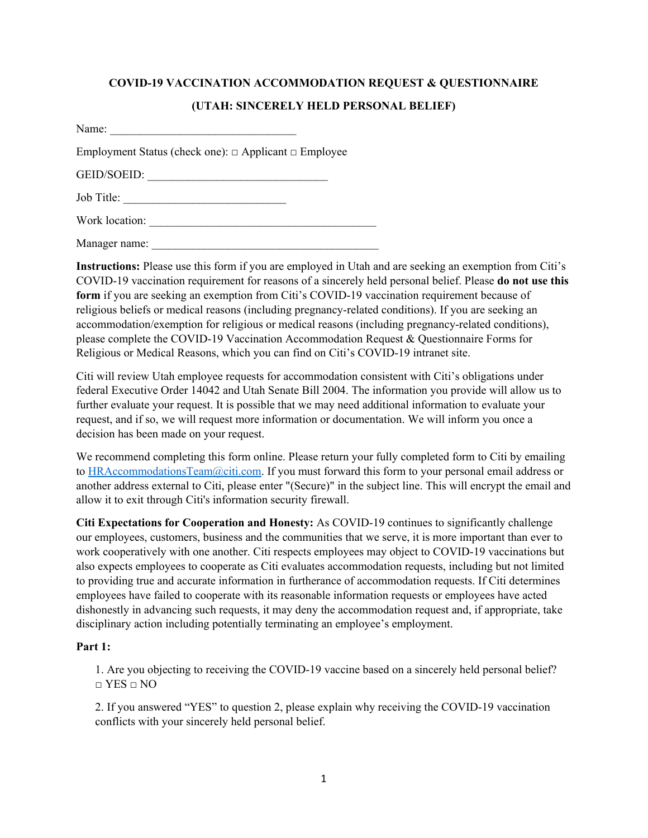## **COVID-19 VACCINATION ACCOMMODATION REQUEST & QUESTIONNAIRE**

## **(UTAH: SINCERELY HELD PERSONAL BELIEF)**

| Name:                                                           |
|-----------------------------------------------------------------|
| Employment Status (check one): $\Box$ Applicant $\Box$ Employee |
| GEID/SOEID:                                                     |
| Job Title:                                                      |
| Work location:                                                  |

Manager name:

**Instructions:** Please use this form if you are employed in Utah and are seeking an exemption from Citi's COVID-19 vaccination requirement for reasons of a sincerely held personal belief. Please **do not use this form** if you are seeking an exemption from Citi's COVID-19 vaccination requirement because of religious beliefs or medical reasons (including pregnancy-related conditions). If you are seeking an accommodation/exemption for religious or medical reasons (including pregnancy-related conditions), please complete the COVID-19 Vaccination Accommodation Request & Questionnaire Forms for Religious or Medical Reasons, which you can find on Citi's COVID-19 intranet site.

Citi will review Utah employee requests for accommodation consistent with Citi's obligations under federal Executive Order 14042 and Utah Senate Bill 2004. The information you provide will allow us to further evaluate your request. It is possible that we may need additional information to evaluate your request, and if so, we will request more information or documentation. We will inform you once a decision has been made on your request.

We recommend completing this form online. Please return your fully completed form to Citi by emailing to **HRAccommodationsTeam**@citi.com. If you must forward this form to your personal email address or another address external to Citi, please enter "(Secure)" in the subject line. This will encrypt the email and allow it to exit through Citi's information security firewall.

**Citi Expectations for Cooperation and Honesty:** As COVID-19 continues to significantly challenge our employees, customers, business and the communities that we serve, it is more important than ever to work cooperatively with one another. Citi respects employees may object to COVID-19 vaccinations but also expects employees to cooperate as Citi evaluates accommodation requests, including but not limited to providing true and accurate information in furtherance of accommodation requests. If Citi determines employees have failed to cooperate with its reasonable information requests or employees have acted dishonestly in advancing such requests, it may deny the accommodation request and, if appropriate, take disciplinary action including potentially terminating an employee's employment.

## **Part 1:**

1. Are you objecting to receiving the COVID-19 vaccine based on a sincerely held personal belief? □ YES □ NO

2. If you answered "YES" to question 2, please explain why receiving the COVID-19 vaccination conflicts with your sincerely held personal belief.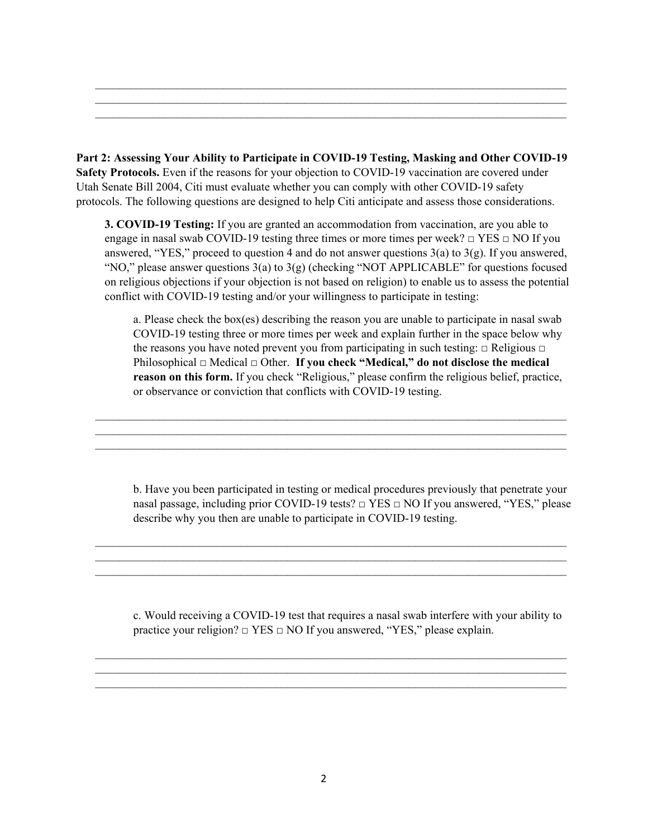**Part 2: Assessing Your Ability to Participate in COVID-19 Testing, Masking and Other COVID-19 Safety Protocols.** Even if the reasons for your objection to COVID-19 vaccination are covered under Utah Senate Bill 2004, Citi must evaluate whether you can comply with other COVID-19 safety protocols. The following questions are designed to help Citi anticipate and assess those considerations.

\_\_\_\_\_\_\_\_\_\_\_\_\_\_\_\_\_\_\_\_\_\_\_\_\_\_\_\_\_\_\_\_\_\_\_\_\_\_\_\_\_\_\_\_\_\_\_\_\_\_\_\_\_\_\_\_\_\_\_\_\_\_\_\_\_\_\_\_\_\_\_\_\_\_\_\_\_\_\_\_\_  $\_$  $\_$ 

**3. COVID-19 Testing:** If you are granted an accommodation from vaccination, are you able to engage in nasal swab COVID-19 testing three times or more times per week?  $\Box$  YES  $\Box$  NO If you answered, "YES," proceed to question 4 and do not answer questions  $3(a)$  to  $3(g)$ . If you answered, "NO," please answer questions 3(a) to 3(g) (checking "NOT APPLICABLE" for questions focused on religious objections if your objection is not based on religion) to enable us to assess the potential conflict with COVID-19 testing and/or your willingness to participate in testing:

a. Please check the box(es) describing the reason you are unable to participate in nasal swab COVID-19 testing three or more times per week and explain further in the space below why the reasons you have noted prevent you from participating in such testing:  $\Box$  Religious  $\Box$ Philosophical □ Medical □ Other. **If you check "Medical," do not disclose the medical reason on this form.** If you check "Religious," please confirm the religious belief, practice, or observance or conviction that conflicts with COVID-19 testing.

 $\_$ \_\_\_\_\_\_\_\_\_\_\_\_\_\_\_\_\_\_\_\_\_\_\_\_\_\_\_\_\_\_\_\_\_\_\_\_\_\_\_\_\_\_\_\_\_\_\_\_\_\_\_\_\_\_\_\_\_\_\_\_\_\_\_\_\_\_\_\_\_\_\_\_\_\_\_\_\_\_\_\_\_  $\_$ 

 $\_$  $\_$  $\_$ 

 $\_$  $\_$  $\_$ 

b. Have you been participated in testing or medical procedures previously that penetrate your nasal passage, including prior COVID-19 tests?  $\Box$  YES  $\Box$  NO If you answered, "YES," please describe why you then are unable to participate in COVID-19 testing.

c. Would receiving a COVID-19 test that requires a nasal swab interfere with your ability to practice your religion?  $\Box$  YES  $\Box$  NO If you answered, "YES," please explain.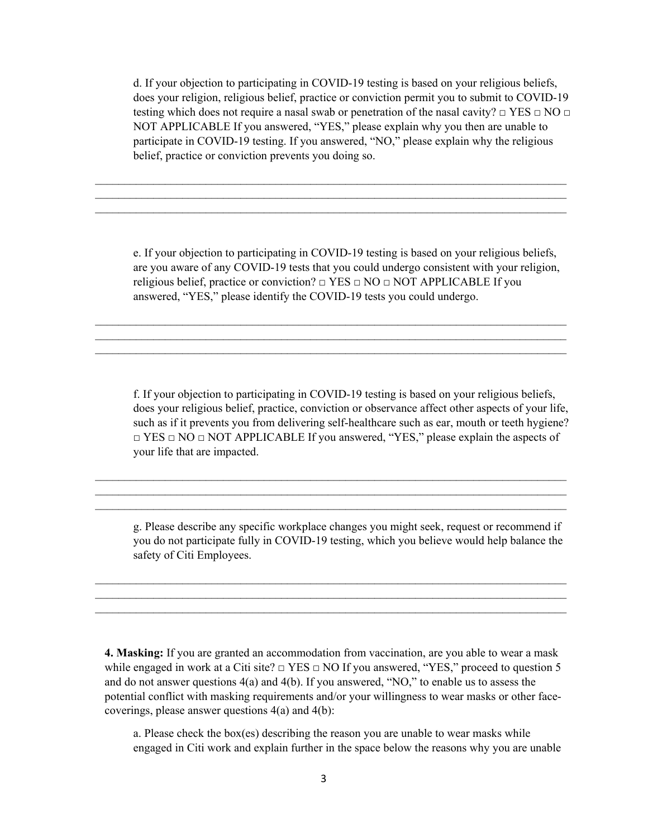d. If your objection to participating in COVID-19 testing is based on your religious beliefs, does your religion, religious belief, practice or conviction permit you to submit to COVID-19 testing which does not require a nasal swab or penetration of the nasal cavity?  $\Box$  YES  $\Box$  NO  $\Box$ NOT APPLICABLE If you answered, "YES," please explain why you then are unable to participate in COVID-19 testing. If you answered, "NO," please explain why the religious belief, practice or conviction prevents you doing so.

 $\_$ \_\_\_\_\_\_\_\_\_\_\_\_\_\_\_\_\_\_\_\_\_\_\_\_\_\_\_\_\_\_\_\_\_\_\_\_\_\_\_\_\_\_\_\_\_\_\_\_\_\_\_\_\_\_\_\_\_\_\_\_\_\_\_\_\_\_\_\_\_\_\_\_\_\_\_\_\_\_\_\_\_  $\_$ 

e. If your objection to participating in COVID-19 testing is based on your religious beliefs, are you aware of any COVID-19 tests that you could undergo consistent with your religion, religious belief, practice or conviction?  $\Box$  YES  $\Box$  NO  $\Box$  NOT APPLICABLE If you answered, "YES," please identify the COVID-19 tests you could undergo.

 $\_$  $\_$  $\_$ 

f. If your objection to participating in COVID-19 testing is based on your religious beliefs, does your religious belief, practice, conviction or observance affect other aspects of your life, such as if it prevents you from delivering self-healthcare such as ear, mouth or teeth hygiene?  $\Box$  YES  $\Box$  NO  $\Box$  NOT APPLICABLE If you answered, "YES," please explain the aspects of your life that are impacted.

 $\_$  $\_$  $\_$ 

 $\_$  $\_$  $\_$ 

g. Please describe any specific workplace changes you might seek, request or recommend if you do not participate fully in COVID-19 testing, which you believe would help balance the safety of Citi Employees.

**4. Masking:** If you are granted an accommodation from vaccination, are you able to wear a mask while engaged in work at a Citi site?  $\Box$  YES  $\Box$  NO If you answered, "YES," proceed to question 5 and do not answer questions 4(a) and 4(b). If you answered, "NO," to enable us to assess the potential conflict with masking requirements and/or your willingness to wear masks or other facecoverings, please answer questions 4(a) and 4(b):

a. Please check the box(es) describing the reason you are unable to wear masks while engaged in Citi work and explain further in the space below the reasons why you are unable